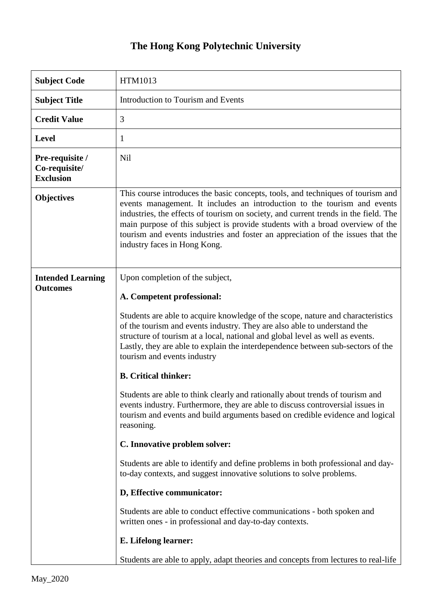## **The Hong Kong Polytechnic University**

| <b>Subject Code</b>                                  | HTM1013                                                                                                                                                                                                                                                                                                                                                                                                                                                |
|------------------------------------------------------|--------------------------------------------------------------------------------------------------------------------------------------------------------------------------------------------------------------------------------------------------------------------------------------------------------------------------------------------------------------------------------------------------------------------------------------------------------|
| <b>Subject Title</b>                                 | Introduction to Tourism and Events                                                                                                                                                                                                                                                                                                                                                                                                                     |
| <b>Credit Value</b>                                  | 3                                                                                                                                                                                                                                                                                                                                                                                                                                                      |
| <b>Level</b>                                         | 1                                                                                                                                                                                                                                                                                                                                                                                                                                                      |
| Pre-requisite /<br>Co-requisite/<br><b>Exclusion</b> | Nil                                                                                                                                                                                                                                                                                                                                                                                                                                                    |
| <b>Objectives</b>                                    | This course introduces the basic concepts, tools, and techniques of tourism and<br>events management. It includes an introduction to the tourism and events<br>industries, the effects of tourism on society, and current trends in the field. The<br>main purpose of this subject is provide students with a broad overview of the<br>tourism and events industries and foster an appreciation of the issues that the<br>industry faces in Hong Kong. |
| <b>Intended Learning</b><br><b>Outcomes</b>          | Upon completion of the subject,<br>A. Competent professional:                                                                                                                                                                                                                                                                                                                                                                                          |
|                                                      | Students are able to acquire knowledge of the scope, nature and characteristics<br>of the tourism and events industry. They are also able to understand the<br>structure of tourism at a local, national and global level as well as events.<br>Lastly, they are able to explain the interdependence between sub-sectors of the<br>tourism and events industry                                                                                         |
|                                                      | <b>B.</b> Critical thinker:                                                                                                                                                                                                                                                                                                                                                                                                                            |
|                                                      | Students are able to think clearly and rationally about trends of tourism and<br>events industry. Furthermore, they are able to discuss controversial issues in<br>tourism and events and build arguments based on credible evidence and logical<br>reasoning.                                                                                                                                                                                         |
|                                                      | C. Innovative problem solver:                                                                                                                                                                                                                                                                                                                                                                                                                          |
|                                                      | Students are able to identify and define problems in both professional and day-<br>to-day contexts, and suggest innovative solutions to solve problems.                                                                                                                                                                                                                                                                                                |
|                                                      | D, Effective communicator:                                                                                                                                                                                                                                                                                                                                                                                                                             |
|                                                      | Students are able to conduct effective communications - both spoken and<br>written ones - in professional and day-to-day contexts.                                                                                                                                                                                                                                                                                                                     |
|                                                      | E. Lifelong learner:                                                                                                                                                                                                                                                                                                                                                                                                                                   |
|                                                      | Students are able to apply, adapt theories and concepts from lectures to real-life                                                                                                                                                                                                                                                                                                                                                                     |